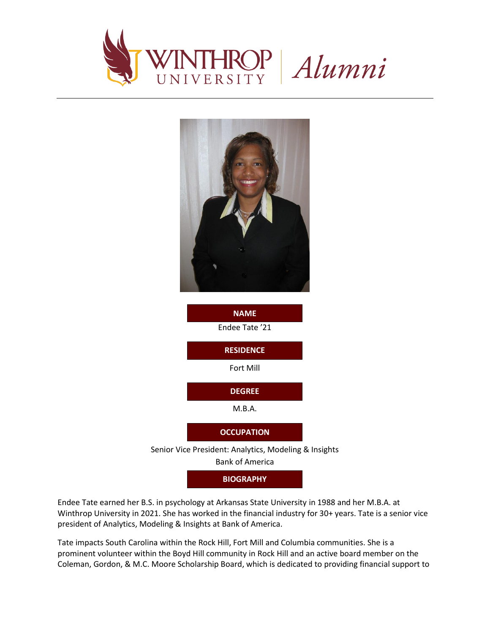



Endee Tate earned her B.S. in psychology at Arkansas State University in 1988 and her M.B.A. at Winthrop University in 2021. She has worked in the financial industry for 30+ years. Tate is a senior vice president of Analytics, Modeling & Insights at Bank of America.

Tate impacts South Carolina within the Rock Hill, Fort Mill and Columbia communities. She is a prominent volunteer within the Boyd Hill community in Rock Hill and an active board member on the Coleman, Gordon, & M.C. Moore Scholarship Board, which is dedicated to providing financial support to